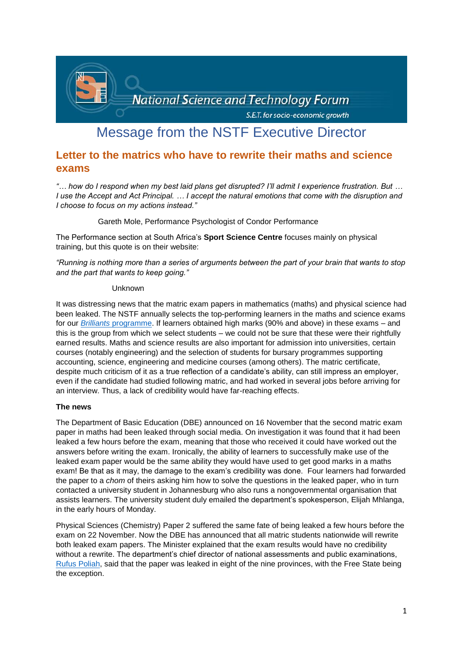

# Message from the NSTF Executive Director

# **Letter to the matrics who have to rewrite their maths and science exams**

*"… how do I respond when my best laid plans get disrupted? I'll admit I experience frustration. But … I use the Accept and Act Principal. … I accept the natural emotions that come with the disruption and I choose to focus on my actions instead."*

Gareth Mole, Performance Psychologist of Condor Performance

The Performance section at South Africa's **Sport Science Centre** focuses mainly on physical training, but this quote is on their website:

*"Running is nothing more than a series of arguments between the part of your brain that wants to stop and the part that wants to keep going."*

## Unknown

It was distressing news that the matric exam papers in mathematics (maths) and physical science had been leaked. The NSTF annually selects the top-performing learners in the maths and science exams for our *Brilliants* [programme.](http://www.nstf.org.za/youth/brilliants-programme/) If learners obtained high marks (90% and above) in these exams – and this is the group from which we select students – we could not be sure that these were their rightfully earned results. Maths and science results are also important for admission into universities, certain courses (notably engineering) and the selection of students for bursary programmes supporting accounting, science, engineering and medicine courses (among others). The matric certificate, despite much criticism of it as a true reflection of a candidate's ability, can still impress an employer, even if the candidate had studied following matric, and had worked in several jobs before arriving for an interview. Thus, a lack of credibility would have far-reaching effects.

#### **The news**

The Department of Basic Education (DBE) announced on 16 November that the second matric exam paper in maths had been leaked through social media. On investigation it was found that it had been leaked a few hours before the exam, meaning that those who received it could have worked out the answers before writing the exam. Ironically, the ability of learners to successfully make use of the leaked exam paper would be the same ability they would have used to get good marks in a maths exam! Be that as it may, the damage to the exam's credibility was done. Four learners had forwarded the paper to a *chom* of theirs asking him how to solve the questions in the leaked paper, who in turn contacted a university student in Johannesburg who also runs a nongovernmental organisation that assists learners. The university student duly emailed the department's spokesperson, Elijah Mhlanga, in the early hours of Monday.

Physical Sciences (Chemistry) Paper 2 suffered the same fate of being leaked a few hours before the exam on 22 November. Now the DBE has announced that all matric students nationwide will rewrite both leaked exam papers. The Minister explained that the exam results would have no credibility without a rewrite. The department's chief director of national assessments and public examinations, [Rufus Poliah,](https://mg.co.za/education/2020-11-18-more-provinces-involved-in-matric-exam-paper-leak/) said that the paper was leaked in eight of the nine provinces, with the Free State being the exception.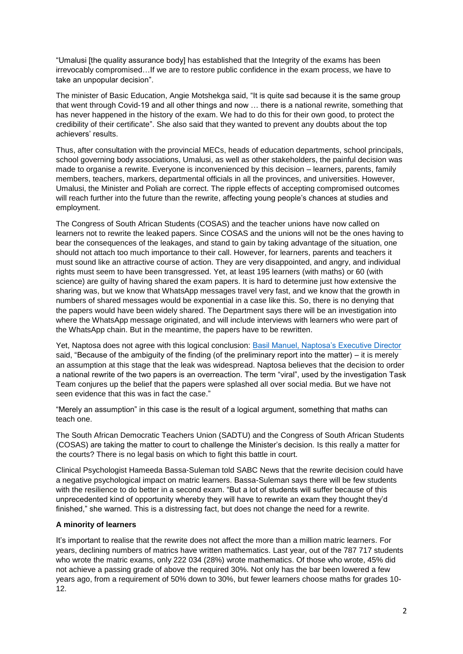"Umalusi [the quality assurance body] has established that the Integrity of the exams has been irrevocably compromised…If we are to restore public confidence in the exam process, we have to take an unpopular decision".

The minister of Basic Education, Angie Motshekga said, "It is quite sad because it is the same group that went through Covid-19 and all other things and now … there is a national rewrite, something that has never happened in the history of the exam. We had to do this for their own good, to protect the credibility of their certificate". She also said that they wanted to prevent any doubts about the top achievers' results.

Thus, after consultation with the provincial MECs, heads of education departments, school principals, school governing body associations, Umalusi, as well as other stakeholders, the painful decision was made to organise a rewrite. Everyone is inconvenienced by this decision – learners, parents, family members, teachers, markers, departmental officials in all the provinces, and universities. However, Umalusi, the Minister and Poliah are correct. The ripple effects of accepting compromised outcomes will reach further into the future than the rewrite, affecting young people's chances at studies and employment.

The Congress of South African Students (COSAS) and the teacher unions have now called on learners not to rewrite the leaked papers. Since COSAS and the unions will not be the ones having to bear the consequences of the leakages, and stand to gain by taking advantage of the situation, one should not attach too much importance to their call. However, for learners, parents and teachers it must sound like an attractive course of action. They are very disappointed, and angry, and individual rights must seem to have been transgressed. Yet, at least 195 learners (with maths) or 60 (with science) are guilty of having shared the exam papers. It is hard to determine just how extensive the sharing was, but we know that WhatsApp messages travel very fast, and we know that the growth in numbers of shared messages would be exponential in a case like this. So, there is no denying that the papers would have been widely shared. The Department says there will be an investigation into where the WhatsApp message originated, and will include interviews with learners who were part of the WhatsApp chain. But in the meantime, the papers have to be rewritten.

Yet, Naptosa does not agree with this logical conclusion: [Basil Manuel, Naptosa's Executive Director](file:///C:/Users/User/Downloads/Backlash%20grows%20against%20DBE) said, "Because of the ambiguity of the finding (of the preliminary report into the matter) – it is merely an assumption at this stage that the leak was widespread. Naptosa believes that the decision to order a national rewrite of the two papers is an overreaction. The term "viral", used by the investigation Task Team conjures up the belief that the papers were splashed all over social media. But we have not seen evidence that this was in fact the case."

"Merely an assumption" in this case is the result of a logical argument, something that maths can teach one.

The South African Democratic Teachers Union (SADTU) and the Congress of South African Students (COSAS) are taking the matter to court to challenge the Minister's decision. Is this really a matter for the courts? There is no legal basis on which to fight this battle in court.

Clinical Psychologist Hameeda Bassa-Suleman told SABC News that the rewrite decision could have a negative psychological impact on matric learners. Bassa-Suleman says there will be few students with the resilience to do better in a second exam. "But a lot of students will suffer because of this unprecedented kind of opportunity whereby they will have to rewrite an exam they thought they'd finished," she warned. This is a distressing fact, but does not change the need for a rewrite.

#### **A minority of learners**

It's important to realise that the rewrite does not affect the more than a million matric learners. For years, declining numbers of matrics have written mathematics. Last year, out of the 787 717 students who wrote the matric exams, only 222 034 (28%) wrote mathematics. Of those who wrote, 45% did not achieve a passing grade of above the required 30%. Not only has the bar been lowered a few years ago, from a requirement of 50% down to 30%, but fewer learners choose maths for grades 10- 12.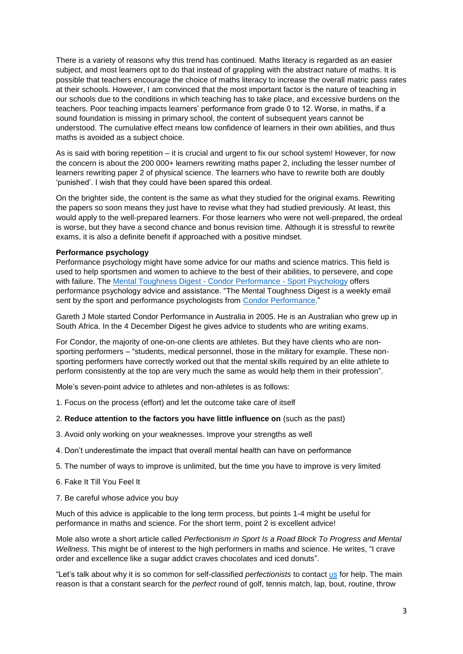There is a variety of reasons why this trend has continued. Maths literacy is regarded as an easier subject, and most learners opt to do that instead of grappling with the abstract nature of maths. It is possible that teachers encourage the choice of maths literacy to increase the overall matric pass rates at their schools. However, I am convinced that the most important factor is the nature of teaching in our schools due to the conditions in which teaching has to take place, and excessive burdens on the teachers. Poor teaching impacts learners' performance from grade 0 to 12. Worse, in maths, if a sound foundation is missing in primary school, the content of subsequent years cannot be understood. The cumulative effect means low confidence of learners in their own abilities, and thus maths is avoided as a subject choice.

As is said with boring repetition – it is crucial and urgent to fix our school system! However, for now the concern is about the 200 000+ learners rewriting maths paper 2, including the lesser number of learners rewriting paper 2 of physical science. The learners who have to rewrite both are doubly 'punished'. I wish that they could have been spared this ordeal.

On the brighter side, the content is the same as what they studied for the original exams. Rewriting the papers so soon means they just have to revise what they had studied previously. At least, this would apply to the well-prepared learners. For those learners who were not well-prepared, the ordeal is worse, but they have a second chance and bonus revision time. Although it is stressful to rewrite exams, it is also a definite benefit if approached with a positive mindset.

#### **Performance psychology**

Performance psychology might have some advice for our maths and science matrics. This field is used to help sportsmen and women to achieve to the best of their abilities, to persevere, and cope with failure. The [Mental Toughness Digest -](https://condorperformance.com/category/mental-toughness-digest/) Condor Performance - Sport Psychology offers performance psychology advice and assistance. "The Mental Toughness Digest is a weekly email sent by the sport and performance psychologists from [Condor Performance.](https://condorperformance.com/)"

Gareth J Mole started Condor Performance in Australia in 2005. He is an Australian who grew up in South Africa. In the 4 December Digest he gives advice to students who are writing exams.

For Condor, the majority of one-on-one clients are athletes. But they have clients who are nonsporting performers – "students, medical personnel, those in the military for example. These nonsporting performers have correctly worked out that the mental skills required by an elite athlete to perform consistently at the top are very much the same as would help them in their profession".

Mole's seven-point advice to athletes and non-athletes is as follows:

- 1. Focus on the process (effort) and let the outcome take care of itself
- 2. **Reduce attention to the factors you have little influence on** (such as the past)
- 3. Avoid only working on your weaknesses. Improve your strengths as well
- 4. Don't underestimate the impact that overall mental health can have on performance
- 5. The number of ways to improve is unlimited, but the time you have to improve is very limited
- 6. Fake It Till You Feel It
- 7. Be careful whose advice you buy

Much of this advice is applicable to the long term process, but points 1-4 might be useful for performance in maths and science. For the short term, point 2 is excellent advice!

Mole also wrote a short article called *Perfectionism in Sport Is a Road Block To Progress and Mental Wellness.* This might be of interest to the high performers in maths and science. He writes, "I crave order and excellence like a sugar addict craves chocolates and iced donuts".

"Let's talk about why it is so common for self-classified *perfectionists* to contact [us](https://condorperformance.com/performance-psychologists/) for help. The main reason is that a constant search for the *perfect* round of golf, tennis match, lap, bout, routine, throw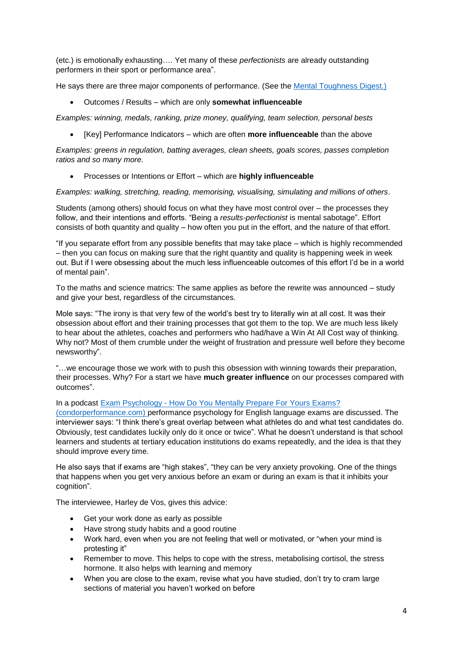(etc.) is emotionally exhausting…. Yet many of these *perfectionists* are already outstanding performers in their sport or performance area".

He says there are three major components of performance. (See the [Mental Toughness Digest.\)](https://condorperformance.com/mental-toughness-sports-performance/)

Outcomes / Results – which are only **somewhat influenceable**

*Examples: winning, medals, ranking, prize money, qualifying, team selection, personal bests*

[Key] Performance Indicators – which are often **more influenceable** than the above

*Examples: greens in regulation, batting averages, clean sheets, goals scores, passes completion ratios and so many more.*

Processes or Intentions or Effort – which are **highly influenceable**

*Examples: walking, stretching, reading, memorising, visualising, simulating and millions of others.*

Students (among others) should focus on what they have most control over – the processes they follow, and their intentions and efforts. "Being a *results-perfectionist* is mental sabotage". Effort consists of both quantity and quality – how often you put in the effort, and the nature of that effort.

"If you separate effort from any possible benefits that may take place – which is highly recommended – then you can focus on making sure that the right quantity and quality is happening week in week out. But if I were obsessing about the much less influenceable outcomes of this effort I'd be in a world of mental pain".

To the maths and science matrics: The same applies as before the rewrite was announced – study and give your best, regardless of the circumstances.

Mole says: "The irony is that very few of the world's best try to literally win at all cost. It was their obsession about effort and their training processes that got them to the top. We are much less likely to hear about the athletes, coaches and performers who had/have a Win At All Cost way of thinking. Why not? Most of them crumble under the weight of frustration and pressure well before they become newsworthy".

"…we encourage those we work with to push this obsession with winning towards their preparation, their processes. Why? For a start we have **much greater influence** on our processes compared with outcomes".

#### In a podcast Exam Psychology - [How Do You Mentally Prepare For](https://condorperformance.com/exam-psychology/) Yours Exams?

[\(condorperformance.com\)](https://condorperformance.com/exam-psychology/) performance psychology for English language exams are discussed. The interviewer says: "I think there's great overlap between what athletes do and what test candidates do. Obviously, test candidates luckily only do it once or twice". What he doesn't understand is that school learners and students at tertiary education institutions do exams repeatedly, and the idea is that they should improve every time.

He also says that if exams are "high stakes", "they can be very anxiety provoking. One of the things that happens when you get very anxious before an exam or during an exam is that it inhibits your cognition".

The interviewee, Harley de Vos, gives this advice:

- Get your work done as early as possible
- Have strong study habits and a good routine
- Work hard, even when you are not feeling that well or motivated, or "when your mind is protesting it"
- Remember to move. This helps to cope with the stress, metabolising cortisol, the stress hormone. It also helps with learning and memory
- When you are close to the exam, revise what you have studied, don't try to cram large sections of material you haven't worked on before